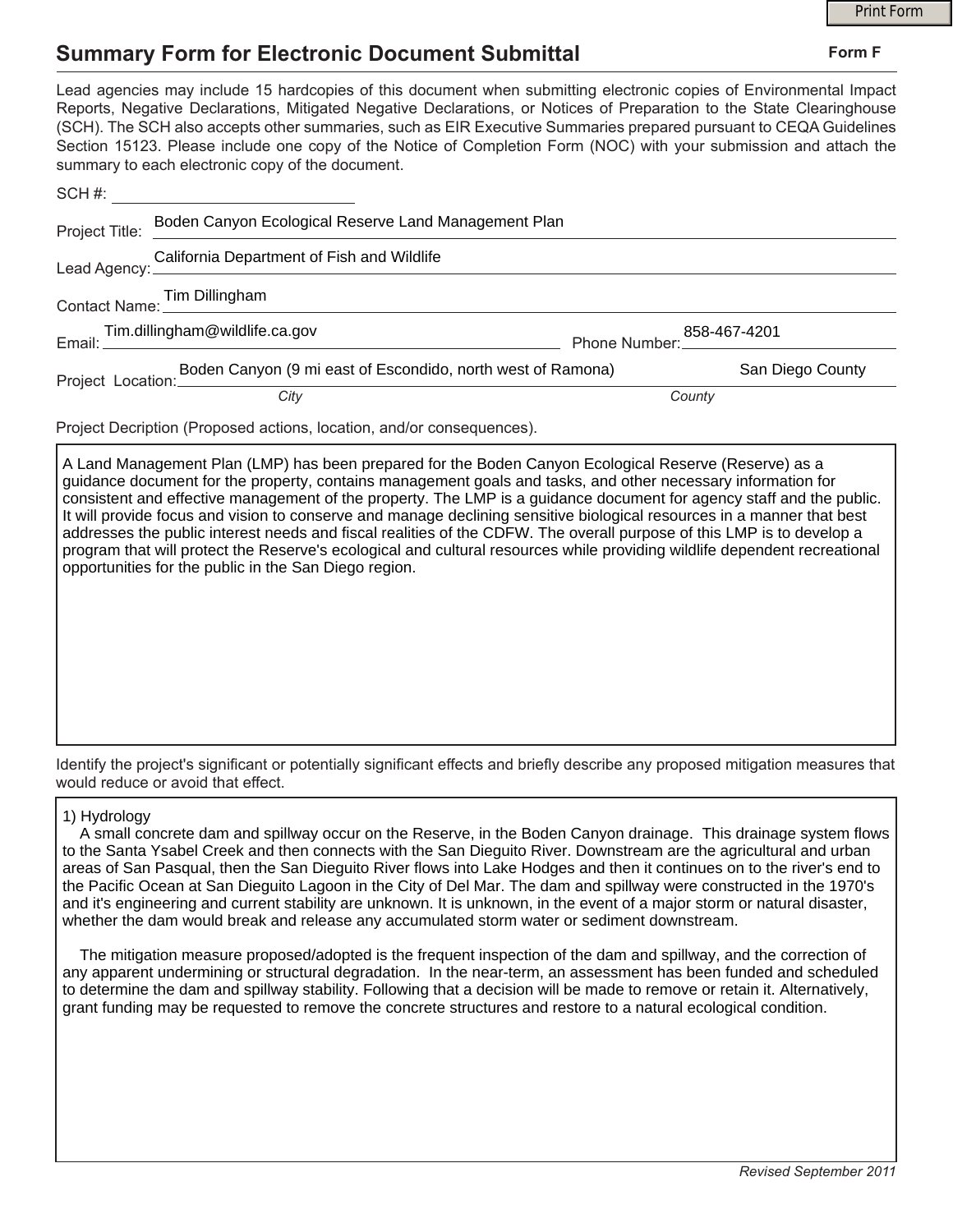## **Summary Form for Electronic Document Submittal**

|                                                                                                                                                                                                                                                                                                                                                                                                                                                                                                                                           |        | <b>Print Form</b> |
|-------------------------------------------------------------------------------------------------------------------------------------------------------------------------------------------------------------------------------------------------------------------------------------------------------------------------------------------------------------------------------------------------------------------------------------------------------------------------------------------------------------------------------------------|--------|-------------------|
| <b>Summary Form for Electronic Document Submittal</b>                                                                                                                                                                                                                                                                                                                                                                                                                                                                                     |        | Form F            |
| Lead agencies may include 15 hardcopies of this document when submitting electronic copies of Environmental Impact<br>Reports, Negative Declarations, Mitigated Negative Declarations, or Notices of Preparation to the State Clearinghouse<br>(SCH). The SCH also accepts other summaries, such as EIR Executive Summaries prepared pursuant to CEQA Guidelines<br>Section 15123. Please include one copy of the Notice of Completion Form (NOC) with your submission and attach the<br>summary to each electronic copy of the document. |        |                   |
|                                                                                                                                                                                                                                                                                                                                                                                                                                                                                                                                           |        |                   |
| Project Title: Boden Canyon Ecological Reserve Land Management Plan                                                                                                                                                                                                                                                                                                                                                                                                                                                                       |        |                   |
| Lead Agency: California Department of Fish and Wildlife                                                                                                                                                                                                                                                                                                                                                                                                                                                                                   |        |                   |
| Contact Name: Tim Dillingham                                                                                                                                                                                                                                                                                                                                                                                                                                                                                                              |        |                   |
| 858-467-4201<br>Phone Number: 200-407-4201                                                                                                                                                                                                                                                                                                                                                                                                                                                                                                |        |                   |
| Project Location: Boden Canyon (9 mi east of Escondido, north west of Ramona)                                                                                                                                                                                                                                                                                                                                                                                                                                                             |        | San Diego County  |
| City                                                                                                                                                                                                                                                                                                                                                                                                                                                                                                                                      | County |                   |
| <b>Project Decription (Proposed actions Jocation and/or consequences)</b>                                                                                                                                                                                                                                                                                                                                                                                                                                                                 |        |                   |

Project Decription (Proposed actions, location, and/or consequences).

A Land Management Plan (LMP) has been prepared for the Boden Canyon Ecological Reserve (Reserve) as a guidance document for the property, contains management goals and tasks, and other necessary information for consistent and effective management of the property. The LMP is a guidance document for agency staff and the public. It will provide focus and vision to conserve and manage declining sensitive biological resources in a manner that best addresses the public interest needs and fiscal realities of the CDFW. The overall purpose of this LMP is to develop a program that will protect the Reserve's ecological and cultural resources while providing wildlife dependent recreational opportunities for the public in the San Diego region.

Identify the project's significant or potentially significant effects and briefly describe any proposed mitigation measures that would reduce or avoid that effect.

## 1) Hydrology

 A small concrete dam and spillway occur on the Reserve, in the Boden Canyon drainage. This drainage system flows to the Santa Ysabel Creek and then connects with the San Dieguito River. Downstream are the agricultural and urban areas of San Pasqual, then the San Dieguito River flows into Lake Hodges and then it continues on to the river's end to the Pacific Ocean at San Dieguito Lagoon in the City of Del Mar. The dam and spillway were constructed in the 1970's and it's engineering and current stability are unknown. It is unknown, in the event of a major storm or natural disaster, whether the dam would break and release any accumulated storm water or sediment downstream.

 The mitigation measure proposed/adopted is the frequent inspection of the dam and spillway, and the correction of any apparent undermining or structural degradation. In the near-term, an assessment has been funded and scheduled to determine the dam and spillway stability. Following that a decision will be made to remove or retain it. Alternatively, grant funding may be requested to remove the concrete structures and restore to a natural ecological condition.